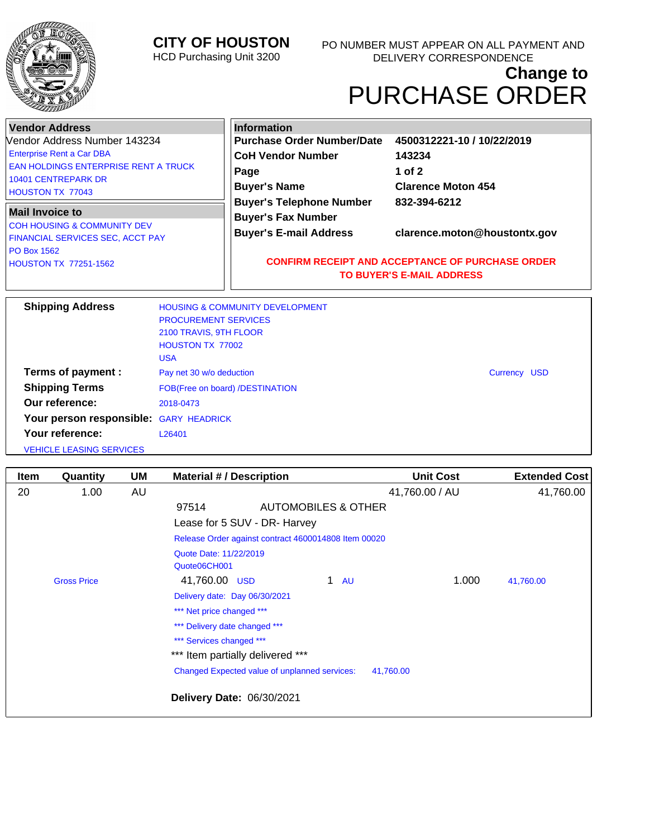

## **CITY OF HOUSTON**

HCD Purchasing Unit 3200

## **Change to** PURCHASE ORDER

| <b>Vendor Address</b><br>Vendor Address Number 143234<br><b>Enterprise Rent a Car DBA</b><br><b>EAN HOLDINGS ENTERPRISE RENT A TRUCK</b><br><b>10401 CENTREPARK DR</b><br><b>HOUSTON TX 77043</b><br><b>Mail Invoice to</b><br><b>COH HOUSING &amp; COMMUNITY DEV</b><br>FINANCIAL SERVICES SEC, ACCT PAY<br><b>PO Box 1562</b><br><b>HOUSTON TX 77251-1562</b> |                                                                                                | <b>Information</b><br><b>Purchase Order Number/Date</b><br><b>CoH Vendor Number</b><br>Page<br><b>Buyer's Name</b><br><b>Buyer's Telephone Number</b> | 4500312221-10 / 10/22/2019<br>143234<br>1 of $2$<br><b>Clarence Moton 454</b><br>832-394-6212<br>clarence.moton@houstontx.gov<br><b>CONFIRM RECEIPT AND ACCEPTANCE OF PURCHASE ORDER</b><br><b>TO BUYER'S E-MAIL ADDRESS</b> |  |
|-----------------------------------------------------------------------------------------------------------------------------------------------------------------------------------------------------------------------------------------------------------------------------------------------------------------------------------------------------------------|------------------------------------------------------------------------------------------------|-------------------------------------------------------------------------------------------------------------------------------------------------------|------------------------------------------------------------------------------------------------------------------------------------------------------------------------------------------------------------------------------|--|
|                                                                                                                                                                                                                                                                                                                                                                 |                                                                                                | <b>Buyer's Fax Number</b><br><b>Buyer's E-mail Address</b>                                                                                            |                                                                                                                                                                                                                              |  |
| <b>Shipping Address</b>                                                                                                                                                                                                                                                                                                                                         | <b>PROCUREMENT SERVICES</b><br>2100 TRAVIS, 9TH FLOOR<br><b>HOUSTON TX 77002</b><br><b>USA</b> | <b>HOUSING &amp; COMMUNITY DEVELOPMENT</b>                                                                                                            |                                                                                                                                                                                                                              |  |
| Terms of payment :<br><b>Shipping Terms</b><br>Our reference:<br>Your person responsible: GARY HEADRICK<br>Your reference:<br><b>VEHICLE LEASING SERVICES</b>                                                                                                                                                                                                   | Pay net 30 w/o deduction<br>2018-0473<br>L26401                                                | FOB(Free on board) /DESTINATION                                                                                                                       | Currency USD                                                                                                                                                                                                                 |  |

| <b>Item</b> | Quantity           | <b>UM</b> | <b>Material #/ Description</b>                       |                                               | <b>Unit Cost</b> | <b>Extended Cost</b> |  |
|-------------|--------------------|-----------|------------------------------------------------------|-----------------------------------------------|------------------|----------------------|--|
| 20          | 1.00               | AU        |                                                      |                                               | 41,760.00 / AU   | 41,760.00            |  |
|             |                    |           | 97514                                                | AUTOMOBILES & OTHER                           |                  |                      |  |
|             |                    |           | Lease for 5 SUV - DR- Harvey                         |                                               |                  |                      |  |
|             |                    |           | Release Order against contract 4600014808 Item 00020 |                                               |                  |                      |  |
|             |                    |           | Quote Date: 11/22/2019                               |                                               |                  |                      |  |
|             |                    |           | Quote06CH001                                         |                                               |                  |                      |  |
|             | <b>Gross Price</b> |           | 41,760.00 USD                                        | 1 $AU$                                        | 1.000            | 41,760.00            |  |
|             |                    |           | Delivery date: Day 06/30/2021                        |                                               |                  |                      |  |
|             |                    |           | *** Net price changed ***                            |                                               |                  |                      |  |
|             |                    |           | *** Delivery date changed ***                        |                                               |                  |                      |  |
|             |                    |           | *** Services changed ***                             |                                               |                  |                      |  |
|             |                    |           | *** Item partially delivered ***                     |                                               |                  |                      |  |
|             |                    |           |                                                      | Changed Expected value of unplanned services: | 41,760.00        |                      |  |
|             |                    |           | Delivery Date: 06/30/2021                            |                                               |                  |                      |  |